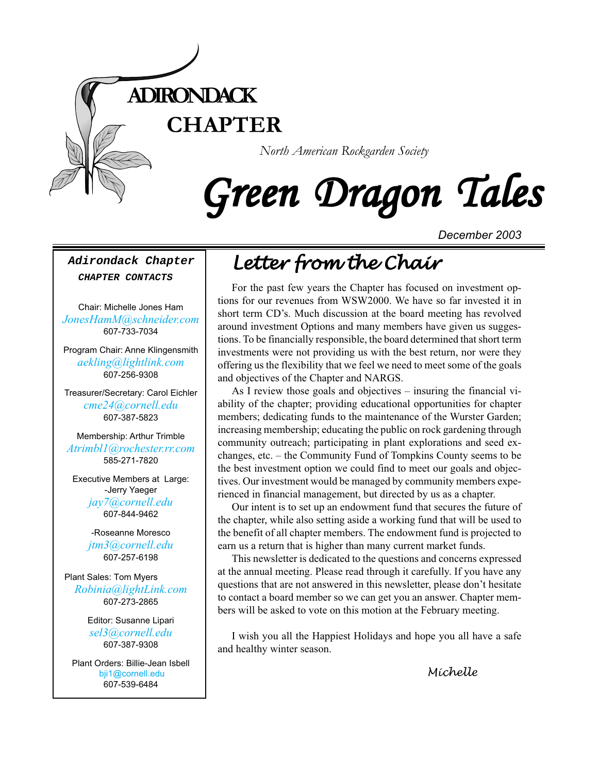

# Green Dragon Tales

*December 2003*

#### **Adirondack Chapter CHAPTER CONTACTS**

Chair: Michelle Jones Ham *[JonesHamM@schneider.com](Mailto:JonesHamM@schneider.com)* 607-733-7034

Program Chair: Anne Klingensmith *[aekling@lightlink.com](mailto:aekling@lightlink.com)* 607-256-9308

Treasurer/Secretary: Carol Eichler *[cme24@cornell.edu](mailto:cme24@cornell.ed)* 607-387-5823

Membership: Arthur Trimble *[Atrimbl1@rochester.rr.com](mailto:Atrimbl1@rochester.rr.com)* 585-271-7820

Executive Members at Large: -Jerry Yaeger *[jay7@cornell.edu](mailto:jay7@cornell.edu)* 607-844-9462

> -Roseanne Moresco *[jtm3@cornell.edu](mailto:jtm3@cornell.edu)* 607-257-6198

Plant Sales: Tom Myers *[Robinia@lightLink.com](mailto:Robinia@lightLink.com)* 607-273-2865

> Editor: Susanne Lipari *[sel3@cornell.edu](mailto:sel3@cornell.edu)* 607-387-9308

Plant Orders: Billie-Jean Isbell  [bji1@cornell.edu](mailto: bji1@cornell.edu|) [607-539-6484](mailto: bji1@cornell.edu|)

# *Letter from the Chair Letter from the Chair*

For the past few years the Chapter has focused on investment options for our revenues from WSW2000. We have so far invested it in short term CD's. Much discussion at the board meeting has revolved around investment Options and many members have given us suggestions. To be financially responsible, the board determined that short term investments were not providing us with the best return, nor were they offering us the flexibility that we feel we need to meet some of the goals and objectives of the Chapter and NARGS.

As I review those goals and objectives – insuring the financial viability of the chapter; providing educational opportunities for chapter members; dedicating funds to the maintenance of the Wurster Garden; increasing membership; educating the public on rock gardening through community outreach; participating in plant explorations and seed exchanges, etc. – the Community Fund of Tompkins County seems to be the best investment option we could find to meet our goals and objectives. Our investment would be managed by community members experienced in financial management, but directed by us as a chapter.

Our intent is to set up an endowment fund that secures the future of the chapter, while also setting aside a working fund that will be used to the benefit of all chapter members. The endowment fund is projected to earn us a return that is higher than many current market funds.

This newsletter is dedicated to the questions and concerns expressed at the annual meeting. Please read through it carefully. If you have any questions that are not answered in this newsletter, please don't hesitate to contact a board member so we can get you an answer. Chapter members will be asked to vote on this motion at the February meeting.

I wish you all the Happiest Holidays and hope you all have a safe and healthy winter season.

*Michelle*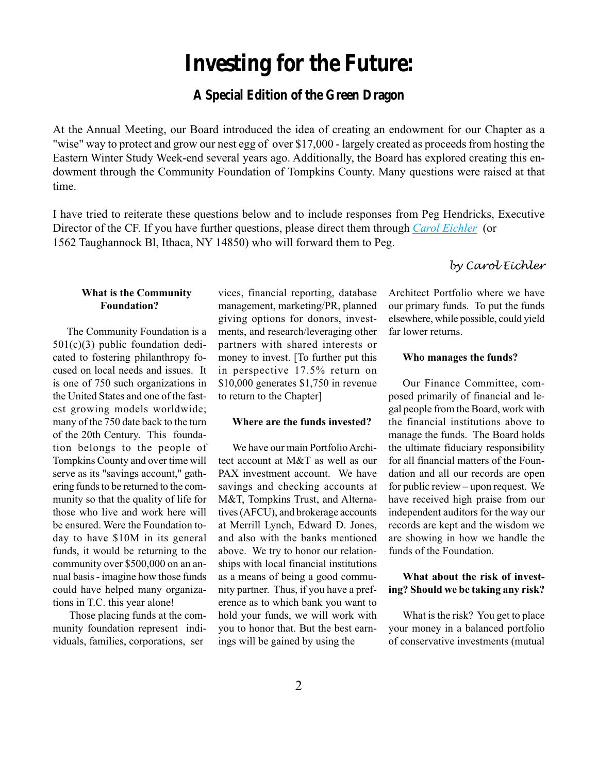# **Investing for the Future:**

# **A Special Edition of the Green Dragon**

At the Annual Meeting, our Board introduced the idea of creating an endowment for our Chapter as a "wise" way to protect and grow our nest egg of over \$17,000 - largely created as proceeds from hosting the Eastern Winter Study Week-end several years ago. Additionally, the Board has explored creating this endowment through the Community Foundation of Tompkins County. Many questions were raised at that time.

I have tried to reiterate these questions below and to include responses from Peg Hendricks, Executive Director of the CF. If you have further questions, please direct them through *[Carol Eichler](mailto:cme24@cornell.ed)* (or 1562 Taughannock Bl, Ithaca, NY 14850) who will forward them to Peg.

### **What is the Community Foundation?**

The Community Foundation is a 501(c)(3) public foundation dedicated to fostering philanthropy focused on local needs and issues. It is one of 750 such organizations in the United States and one of the fastest growing models worldwide; many of the 750 date back to the turn of the 20th Century. This foundation belongs to the people of Tompkins County and over time will serve as its "savings account," gathering funds to be returned to the community so that the quality of life for those who live and work here will be ensured. Were the Foundation today to have \$10M in its general funds, it would be returning to the community over \$500,000 on an annual basis - imagine how those funds could have helped many organizations in T.C. this year alone!

Those placing funds at the community foundation represent individuals, families, corporations, ser

vices, financial reporting, database management, marketing/PR, planned giving options for donors, investments, and research/leveraging other partners with shared interests or money to invest. [To further put this in perspective 17.5% return on \$10,000 generates \$1,750 in revenue to return to the Chapter]

#### **Where are the funds invested?**

We have our main Portfolio Architect account at M&T as well as our PAX investment account. We have savings and checking accounts at M&T, Tompkins Trust, and Alternatives (AFCU), and brokerage accounts at Merrill Lynch, Edward D. Jones, and also with the banks mentioned above. We try to honor our relationships with local financial institutions as a means of being a good community partner. Thus, if you have a preference as to which bank you want to hold your funds, we will work with you to honor that. But the best earnings will be gained by using the

# *by Carol Eichler*

Architect Portfolio where we have our primary funds. To put the funds elsewhere, while possible, could yield far lower returns.

#### **Who manages the funds?**

Our Finance Committee, composed primarily of financial and legal people from the Board, work with the financial institutions above to manage the funds. The Board holds the ultimate fiduciary responsibility for all financial matters of the Foundation and all our records are open for public review – upon request. We have received high praise from our independent auditors for the way our records are kept and the wisdom we are showing in how we handle the funds of the Foundation.

## **What about the risk of investing? Should we be taking any risk?**

What is the risk? You get to place your money in a balanced portfolio of conservative investments (mutual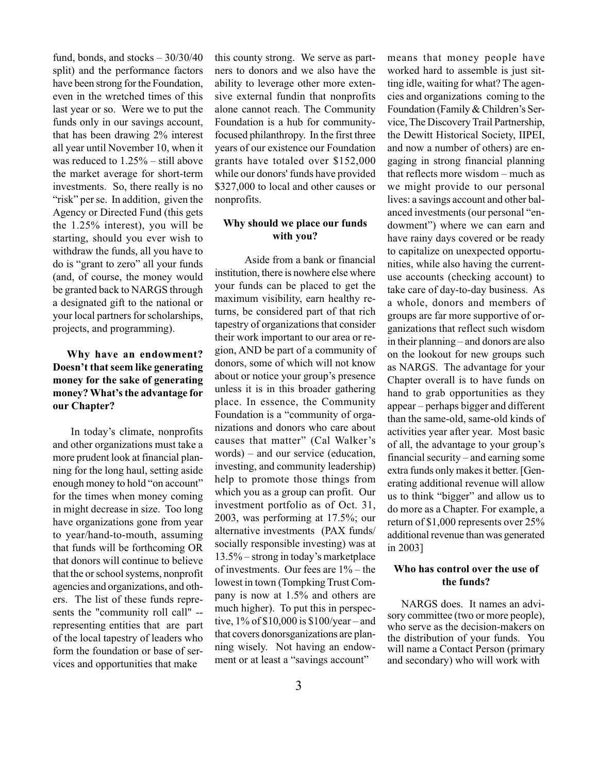fund, bonds, and stocks  $-30/30/40$ split) and the performance factors have been strong for the Foundation, even in the wretched times of this last year or so. Were we to put the funds only in our savings account, that has been drawing 2% interest all year until November 10, when it was reduced to 1.25% – still above the market average for short-term investments. So, there really is no "risk" per se. In addition, given the Agency or Directed Fund (this gets the 1.25% interest), you will be starting, should you ever wish to withdraw the funds, all you have to do is "grant to zero" all your funds (and, of course, the money would be granted back to NARGS through a designated gift to the national or your local partners for scholarships, projects, and programming).

## **Why have an endowment? Doesn't that seem like generating money for the sake of generating money? What's the advantage for our Chapter?**

 In today's climate, nonprofits and other organizations must take a more prudent look at financial planning for the long haul, setting aside enough money to hold "on account" for the times when money coming in might decrease in size. Too long have organizations gone from year to year/hand-to-mouth, assuming that funds will be forthcoming OR that donors will continue to believe that the or school systems, nonprofit agencies and organizations, and others. The list of these funds represents the "community roll call" - representing entities that are part of the local tapestry of leaders who form the foundation or base of services and opportunities that make

this county strong. We serve as partners to donors and we also have the ability to leverage other more extensive external fundin that nonprofits alone cannot reach. The Community Foundation is a hub for communityfocused philanthropy. In the first three years of our existence our Foundation grants have totaled over \$152,000 while our donors' funds have provided \$327,000 to local and other causes or nonprofits.

#### **Why should we place our funds with you?**

 Aside from a bank or financial institution, there is nowhere else where your funds can be placed to get the maximum visibility, earn healthy returns, be considered part of that rich tapestry of organizations that consider their work important to our area or region, AND be part of a community of donors, some of which will not know about or notice your group's presence unless it is in this broader gathering place. In essence, the Community Foundation is a "community of organizations and donors who care about causes that matter" (Cal Walker's words) – and our service (education, investing, and community leadership) help to promote those things from which you as a group can profit. Our investment portfolio as of Oct. 31, 2003, was performing at 17.5%; our alternative investments (PAX funds/ socially responsible investing) was at 13.5% – strong in today's marketplace of investments. Our fees are 1% – the lowest in town (Tompking Trust Company is now at 1.5% and others are much higher). To put this in perspective, 1% of \$10,000 is \$100/year – and that covers donorsganizations are planning wisely. Not having an endowment or at least a "savings account"

means that money people have worked hard to assemble is just sitting idle, waiting for what? The agencies and organizations coming to the Foundation (Family & Children's Service, The Discovery Trail Partnership, the Dewitt Historical Society, IIPEI, and now a number of others) are engaging in strong financial planning that reflects more wisdom – much as we might provide to our personal lives: a savings account and other balanced investments (our personal "endowment") where we can earn and have rainy days covered or be ready to capitalize on unexpected opportunities, while also having the currentuse accounts (checking account) to take care of day-to-day business. As a whole, donors and members of groups are far more supportive of organizations that reflect such wisdom in their planning – and donors are also on the lookout for new groups such as NARGS. The advantage for your Chapter overall is to have funds on hand to grab opportunities as they appear – perhaps bigger and different than the same-old, same-old kinds of activities year after year. Most basic of all, the advantage to your group's financial security – and earning some extra funds only makes it better. [Generating additional revenue will allow us to think "bigger" and allow us to do more as a Chapter. For example, a return of \$1,000 represents over 25% additional revenue than was generated in 2003]

#### **Who has control over the use of the funds?**

NARGS does. It names an advisory committee (two or more people), who serve as the decision-makers on the distribution of your funds. You will name a Contact Person (primary and secondary) who will work with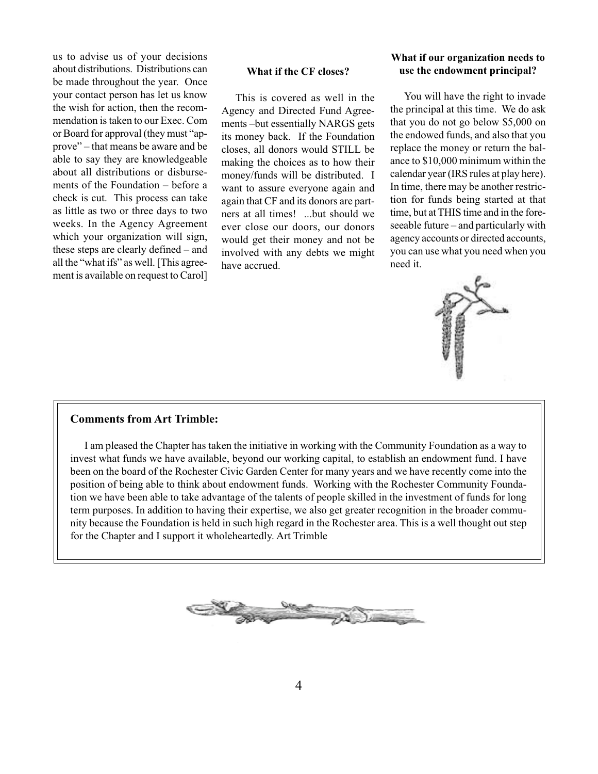us to advise us of your decisions about distributions. Distributions can be made throughout the year. Once your contact person has let us know the wish for action, then the recommendation is taken to our Exec. Com or Board for approval (they must "approve" – that means be aware and be able to say they are knowledgeable about all distributions or disbursements of the Foundation – before a check is cut. This process can take as little as two or three days to two weeks. In the Agency Agreement which your organization will sign, these steps are clearly defined – and all the "what ifs" as well. [This agreement is available on request to Carol]

#### **What if the CF closes?**

This is covered as well in the Agency and Directed Fund Agreements –but essentially NARGS gets its money back. If the Foundation closes, all donors would STILL be making the choices as to how their money/funds will be distributed. I want to assure everyone again and again that CF and its donors are partners at all times! ...but should we ever close our doors, our donors would get their money and not be involved with any debts we might have accrued.

#### **What if our organization needs to use the endowment principal?**

You will have the right to invade the principal at this time. We do ask that you do not go below \$5,000 on the endowed funds, and also that you replace the money or return the balance to \$10,000 minimum within the calendar year (IRS rules at play here). In time, there may be another restriction for funds being started at that time, but at THIS time and in the foreseeable future – and particularly with agency accounts or directed accounts, you can use what you need when you need it.



#### **Comments from Art Trimble:**

I am pleased the Chapter has taken the initiative in working with the Community Foundation as a way to invest what funds we have available, beyond our working capital, to establish an endowment fund. I have been on the board of the Rochester Civic Garden Center for many years and we have recently come into the position of being able to think about endowment funds. Working with the Rochester Community Foundation we have been able to take advantage of the talents of people skilled in the investment of funds for long term purposes. In addition to having their expertise, we also get greater recognition in the broader community because the Foundation is held in such high regard in the Rochester area. This is a well thought out step for the Chapter and I support it wholeheartedly. Art Trimble